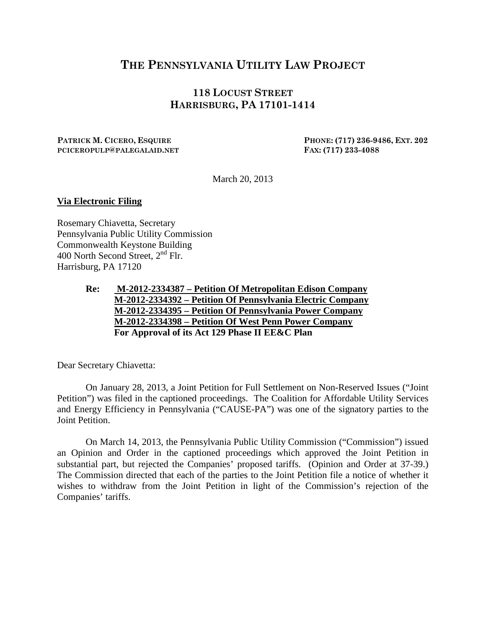## **THE PENNSYLVANIA UTILITY LAW PROJECT**

## **118 LOCUST STREET HARRISBURG, PA 17101-1414**

**PATRICK M. CICERO, ESQUIRE PHONE: (717) 236-9486, EXT. 202 PCICEROPULP@PALEGALAID.NET FAX: (717) 233-4088**

March 20, 2013

## **Via Electronic Filing**

Rosemary Chiavetta, Secretary Pennsylvania Public Utility Commission Commonwealth Keystone Building 400 North Second Street,  $2<sup>nd</sup>$  Flr. Harrisburg, PA 17120

> **Re: M-2012-2334387 – Petition Of Metropolitan Edison Company M-2012-2334392 – Petition Of Pennsylvania Electric Company M-2012-2334395 – Petition Of Pennsylvania Power Company For Approval of its Act 129 Phase II EE&C Plan M-2012-2334398 – Petition Of West Penn Power Company**

Dear Secretary Chiavetta:

On January 28, 2013, a Joint Petition for Full Settlement on Non-Reserved Issues ("Joint Petition") was filed in the captioned proceedings. The Coalition for Affordable Utility Services and Energy Efficiency in Pennsylvania ("CAUSE-PA") was one of the signatory parties to the Joint Petition.

On March 14, 2013, the Pennsylvania Public Utility Commission ("Commission") issued an Opinion and Order in the captioned proceedings which approved the Joint Petition in substantial part, but rejected the Companies' proposed tariffs. (Opinion and Order at 37-39.) The Commission directed that each of the parties to the Joint Petition file a notice of whether it wishes to withdraw from the Joint Petition in light of the Commission's rejection of the Companies' tariffs.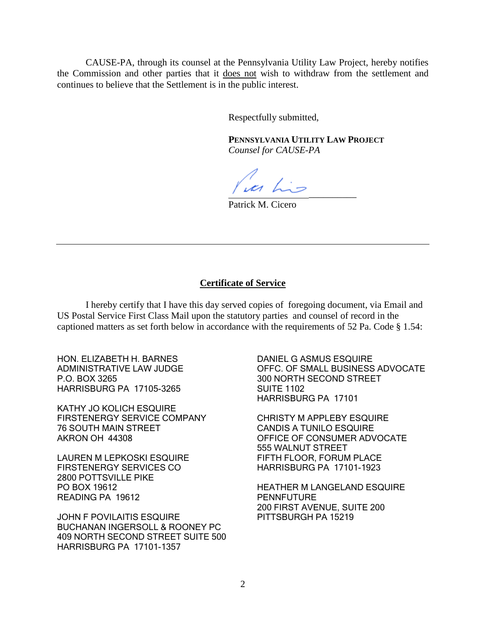CAUSE-PA, through its counsel at the Pennsylvania Utility Law Project, hereby notifies the Commission and other parties that it does not wish to withdraw from the settlement and continues to believe that the Settlement is in the public interest.

Respectfully submitted,

**PENNSYLVANIA UTILITY LAW PROJECT** *Counsel for CAUSE-PA*

\_\_\_\_\_\_\_\_\_\_

Patrick M. Cicero

## **Certificate of Service**

I hereby certify that I have this day served copies of foregoing document, via Email and US Postal Service First Class Mail upon the statutory parties and counsel of record in the captioned matters as set forth below in accordance with the requirements of 52 Pa. Code § 1.54:

HON. ELIZABETH H. BARNES ADMINISTRATIVE LAW JUDGE P.O. BOX 3265 HARRISBURG PA 17105-3265

KATHY JO KOLICH ESQUIRE FIRSTENERGY SERVICE COMPANY 76 SOUTH MAIN STREET AKRON OH 44308

LAUREN M LEPKOSKI ESQUIRE FIRSTENERGY SERVICES CO 2800 POTTSVILLE PIKE PO BOX 19612 READING PA 19612

JOHN F POVILAITIS ESQUIRE BUCHANAN INGERSOLL & ROONEY PC 409 NORTH SECOND STREET SUITE 500 HARRISBURG PA 17101-1357

DANIEL G ASMUS ESQUIRE OFFC. OF SMALL BUSINESS ADVOCATE 300 NORTH SECOND STREET SUITE 1102 HARRISBURG PA 17101

CHRISTY M APPLEBY ESQUIRE CANDIS A TUNILO ESQUIRE OFFICE OF CONSUMER ADVOCATE 555 WALNUT STREET FIFTH FLOOR, FORUM PLACE HARRISBURG PA 17101-1923

HEATHER M LANGELAND ESQUIRE **PENNFUTURE** 200 FIRST AVENUE, SUITE 200 PITTSBURGH PA 15219